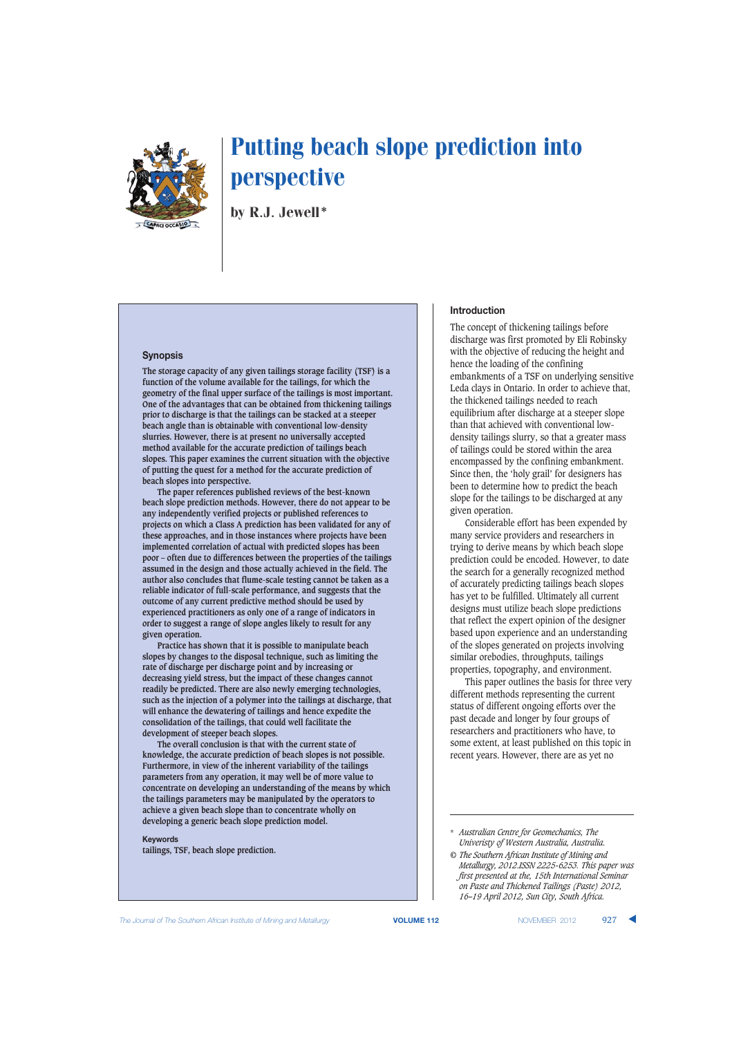

by R.J. Jewell\*

#### **Synopsis**

**The storage capacity of any given tailings storage facility (TSF) is a function of the volume available for the tailings, for which the geometry of the final upper surface of the tailings is most important. One of the advantages that can be obtained from thickening tailings prior to discharge is that the tailings can be stacked at a steeper beach angle than is obtainable with conventional low-density slurries. However, there is at present no universally accepted method available for the accurate prediction of tailings beach slopes. This paper examines the current situation with the objective of putting the quest for a method for the accurate prediction of beach slopes into perspective.**

**The paper references published reviews of the best-known beach slope prediction methods. However, there do not appear to be any independently verified projects or published references to projects on which a Class A prediction has been validated for any of these approaches, and in those instances where projects have been implemented correlation of actual with predicted slopes has been poor – often due to differences between the properties of the tailings assumed in the design and those actually achieved in the field. The author also concludes that flume-scale testing cannot be taken as a reliable indicator of full-scale performance, and suggests that the outcome of any current predictive method should be used by experienced practitioners as only one of a range of indicators in order to suggest a range of slope angles likely to result for any given operation.**

**Practice has shown that it is possible to manipulate beach slopes by changes to the disposal technique, such as limiting the rate of discharge per discharge point and by increasing or decreasing yield stress, but the impact of these changes cannot readily be predicted. There are also newly emerging technologies, such as the injection of a polymer into the tailings at discharge, that will enhance the dewatering of tailings and hence expedite the consolidation of the tailings, that could well facilitate the development of steeper beach slopes.**

**The overall conclusion is that with the current state of knowledge, the accurate prediction of beach slopes is not possible. Furthermore, in view of the inherent variability of the tailings parameters from any operation, it may well be of more value to concentrate on developing an understanding of the means by which the tailings parameters may be manipulated by the operators to achieve a given beach slope than to concentrate wholly on developing a generic beach slope prediction model.**

#### **Keywords**

**tailings, TSF, beach slope prediction.**

#### **Introduction**

The concept of thickening tailings before discharge was first promoted by Eli Robinsky with the objective of reducing the height and hence the loading of the confining embankments of a TSF on underlying sensitive Leda clays in Ontario. In order to achieve that, the thickened tailings needed to reach equilibrium after discharge at a steeper slope than that achieved with conventional lowdensity tailings slurry, so that a greater mass of tailings could be stored within the area encompassed by the confining embankment. Since then, the 'holy grail' for designers has been to determine how to predict the beach slope for the tailings to be discharged at any given operation.

Considerable effort has been expended by many service providers and researchers in trying to derive means by which beach slope prediction could be encoded. However, to date the search for a generally recognized method of accurately predicting tailings beach slopes has yet to be fulfilled. Ultimately all current designs must utilize beach slope predictions that reflect the expert opinion of the designer based upon experience and an understanding of the slopes generated on projects involving similar orebodies, throughputs, tailings properties, topography, and environment.

This paper outlines the basis for three very different methods representing the current status of different ongoing efforts over the past decade and longer by four groups of researchers and practitioners who have, to some extent, at least published on this topic in recent years. However, there are as yet no

**The Journal of The Southern African Institute of Mining and Metallurgy <b>VOLUME 112 VOLUME 112** NOVEMBER 2012 927

<sup>\*</sup> *Australian Centre for Geomechanics, The Univeristy of Western Australia, Australia.*

*<sup>©</sup> The Southern African Institute of Mining and Metallurgy, 2012.ISSN 2225-6253. This paper was first presented at the, 15th International Seminar on Paste and Thickened Tailings (Paste) 2012, 16–19 April 2012, Sun City, South Africa.*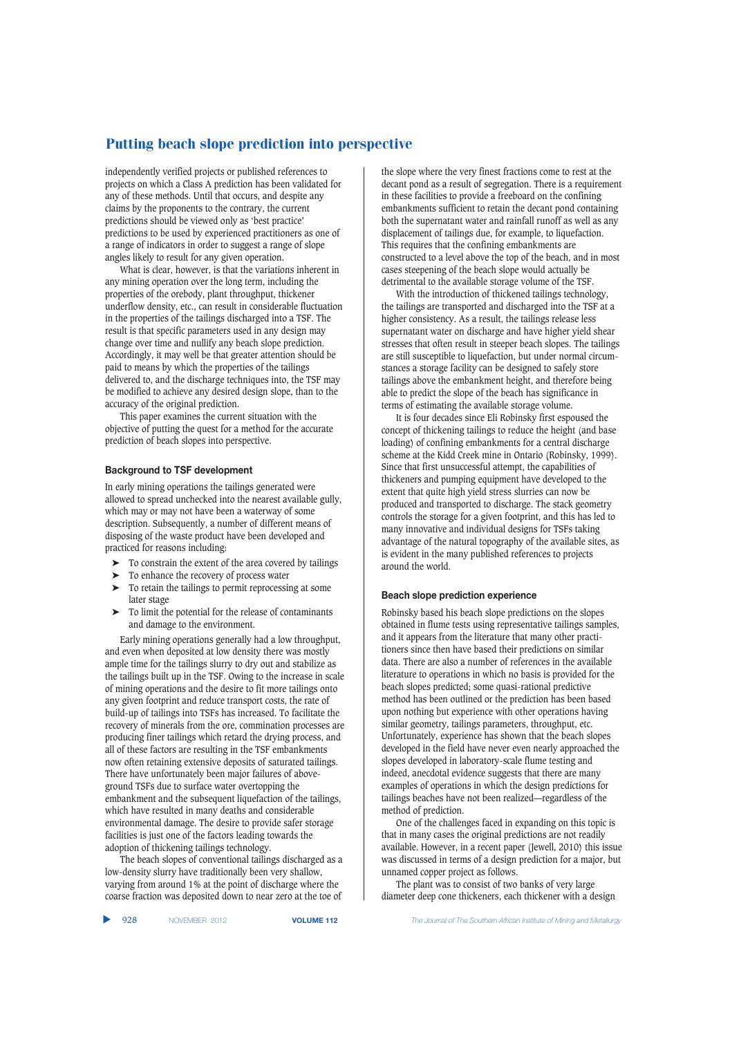independently verified projects or published references to projects on which a Class A prediction has been validated for any of these methods. Until that occurs, and despite any claims by the proponents to the contrary, the current predictions should be viewed only as 'best practice' predictions to be used by experienced practitioners as one of a range of indicators in order to suggest a range of slope angles likely to result for any given operation.

What is clear, however, is that the variations inherent in any mining operation over the long term, including the properties of the orebody, plant throughput, thickener underflow density, etc., can result in considerable fluctuation in the properties of the tailings discharged into a TSF. The result is that specific parameters used in any design may change over time and nullify any beach slope prediction. Accordingly, it may well be that greater attention should be paid to means by which the properties of the tailings delivered to, and the discharge techniques into, the TSF may be modified to achieve any desired design slope, than to the accuracy of the original prediction.

This paper examines the current situation with the objective of putting the quest for a method for the accurate prediction of beach slopes into perspective.

#### **Background to TSF development**

In early mining operations the tailings generated were allowed to spread unchecked into the nearest available gully, which may or may not have been a waterway of some description. Subsequently, a number of different means of disposing of the waste product have been developed and practiced for reasons including:

- ➤ To constrain the extent of the area covered by tailings
- ➤ To enhance the recovery of process water
- ➤ To retain the tailings to permit reprocessing at some later stage
- ➤ To limit the potential for the release of contaminants and damage to the environment.

Early mining operations generally had a low throughput, and even when deposited at low density there was mostly ample time for the tailings slurry to dry out and stabilize as the tailings built up in the TSF. Owing to the increase in scale of mining operations and the desire to fit more tailings onto any given footprint and reduce transport costs, the rate of build-up of tailings into TSFs has increased. To facilitate the recovery of minerals from the ore, commination processes are producing finer tailings which retard the drying process, and all of these factors are resulting in the TSF embankments now often retaining extensive deposits of saturated tailings. There have unfortunately been major failures of aboveground TSFs due to surface water overtopping the embankment and the subsequent liquefaction of the tailings, which have resulted in many deaths and considerable environmental damage. The desire to provide safer storage facilities is just one of the factors leading towards the adoption of thickening tailings technology.

The beach slopes of conventional tailings discharged as a low-density slurry have traditionally been very shallow, varying from around 1% at the point of discharge where the coarse fraction was deposited down to near zero at the toe of

the slope where the very finest fractions come to rest at the decant pond as a result of segregation. There is a requirement in these facilities to provide a freeboard on the confining embankments sufficient to retain the decant pond containing both the supernatant water and rainfall runoff as well as any displacement of tailings due, for example, to liquefaction. This requires that the confining embankments are constructed to a level above the top of the beach, and in most cases steepening of the beach slope would actually be detrimental to the available storage volume of the TSF.

With the introduction of thickened tailings technology, the tailings are transported and discharged into the TSF at a higher consistency. As a result, the tailings release less supernatant water on discharge and have higher yield shear stresses that often result in steeper beach slopes. The tailings are still susceptible to liquefaction, but under normal circumstances a storage facility can be designed to safely store tailings above the embankment height, and therefore being able to predict the slope of the beach has significance in terms of estimating the available storage volume.

It is four decades since Eli Robinsky first espoused the concept of thickening tailings to reduce the height (and base loading) of confining embankments for a central discharge scheme at the Kidd Creek mine in Ontario (Robinsky, 1999). Since that first unsuccessful attempt, the capabilities of thickeners and pumping equipment have developed to the extent that quite high yield stress slurries can now be produced and transported to discharge. The stack geometry controls the storage for a given footprint, and this has led to many innovative and individual designs for TSFs taking advantage of the natural topography of the available sites, as is evident in the many published references to projects around the world.

#### **Beach slope prediction experience**

Robinsky based his beach slope predictions on the slopes obtained in flume tests using representative tailings samples, and it appears from the literature that many other practitioners since then have based their predictions on similar data. There are also a number of references in the available literature to operations in which no basis is provided for the beach slopes predicted; some quasi-rational predictive method has been outlined or the prediction has been based upon nothing but experience with other operations having similar geometry, tailings parameters, throughput, etc. Unfortunately, experience has shown that the beach slopes developed in the field have never even nearly approached the slopes developed in laboratory-scale flume testing and indeed, anecdotal evidence suggests that there are many examples of operations in which the design predictions for tailings beaches have not been realized—regardless of the method of prediction.

One of the challenges faced in expanding on this topic is that in many cases the original predictions are not readily available. However, in a recent paper (Jewell, 2010) this issue was discussed in terms of a design prediction for a major, but unnamed copper project as follows.

The plant was to consist of two banks of very large diameter deep cone thickeners, each thickener with a design

▲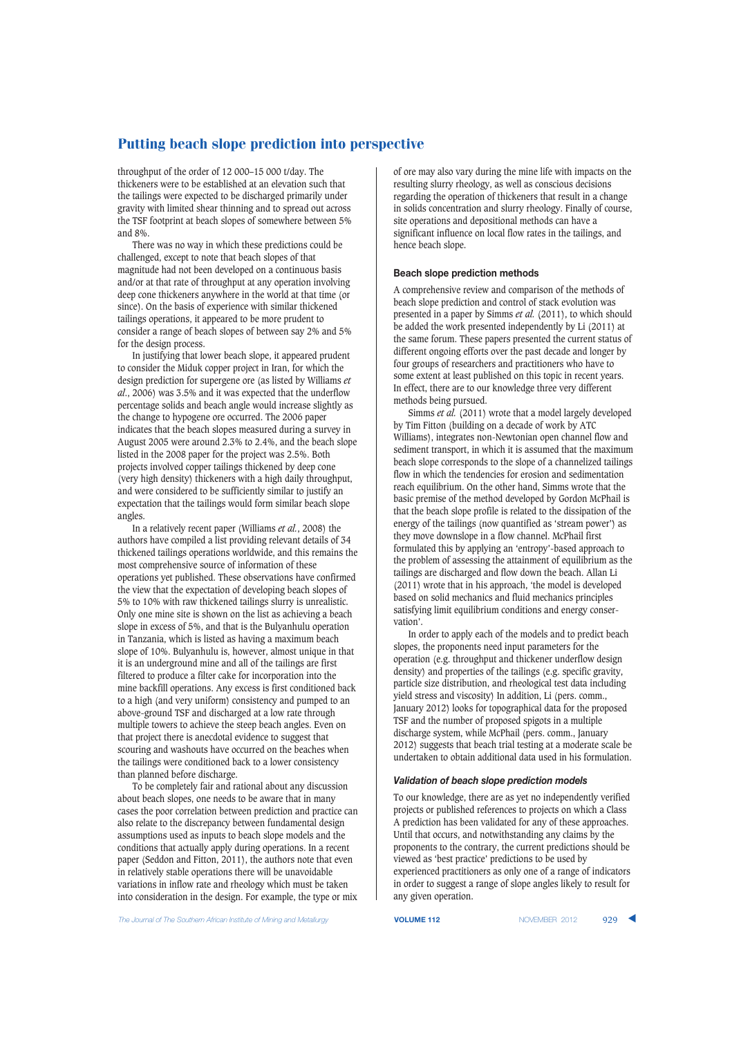throughput of the order of 12 000–15 000 t/day. The thickeners were to be established at an elevation such that the tailings were expected to be discharged primarily under gravity with limited shear thinning and to spread out across the TSF footprint at beach slopes of somewhere between 5% and 8%.

There was no way in which these predictions could be challenged, except to note that beach slopes of that magnitude had not been developed on a continuous basis and/or at that rate of throughput at any operation involving deep cone thickeners anywhere in the world at that time (or since). On the basis of experience with similar thickened tailings operations, it appeared to be more prudent to consider a range of beach slopes of between say 2% and 5% for the design process.

In justifying that lower beach slope, it appeared prudent to consider the Miduk copper project in Iran, for which the design prediction for supergene ore (as listed by Williams *et al*., 2006) was 3.5% and it was expected that the underflow percentage solids and beach angle would increase slightly as the change to hypogene ore occurred. The 2006 paper indicates that the beach slopes measured during a survey in August 2005 were around 2.3% to 2.4%, and the beach slope listed in the 2008 paper for the project was 2.5%. Both projects involved copper tailings thickened by deep cone (very high density) thickeners with a high daily throughput, and were considered to be sufficiently similar to justify an expectation that the tailings would form similar beach slope angles.

In a relatively recent paper (Williams *et al.*, 2008) the authors have compiled a list providing relevant details of 34 thickened tailings operations worldwide, and this remains the most comprehensive source of information of these operations yet published. These observations have confirmed the view that the expectation of developing beach slopes of 5% to 10% with raw thickened tailings slurry is unrealistic. Only one mine site is shown on the list as achieving a beach slope in excess of 5%, and that is the Bulyanhulu operation in Tanzania, which is listed as having a maximum beach slope of 10%. Bulyanhulu is, however, almost unique in that it is an underground mine and all of the tailings are first filtered to produce a filter cake for incorporation into the mine backfill operations. Any excess is first conditioned back to a high (and very uniform) consistency and pumped to an above-ground TSF and discharged at a low rate through multiple towers to achieve the steep beach angles. Even on that project there is anecdotal evidence to suggest that scouring and washouts have occurred on the beaches when the tailings were conditioned back to a lower consistency than planned before discharge.

To be completely fair and rational about any discussion about beach slopes, one needs to be aware that in many cases the poor correlation between prediction and practice can also relate to the discrepancy between fundamental design assumptions used as inputs to beach slope models and the conditions that actually apply during operations. In a recent paper (Seddon and Fitton, 2011), the authors note that even in relatively stable operations there will be unavoidable variations in inflow rate and rheology which must be taken into consideration in the design. For example, the type or mix

of ore may also vary during the mine life with impacts on the resulting slurry rheology, as well as conscious decisions regarding the operation of thickeners that result in a change in solids concentration and slurry rheology. Finally of course, site operations and depositional methods can have a significant influence on local flow rates in the tailings, and hence beach slope.

#### **Beach slope prediction methods**

A comprehensive review and comparison of the methods of beach slope prediction and control of stack evolution was presented in a paper by Simms *et al.* (2011), to which should be added the work presented independently by Li (2011) at the same forum. These papers presented the current status of different ongoing efforts over the past decade and longer by four groups of researchers and practitioners who have to some extent at least published on this topic in recent years. In effect, there are to our knowledge three very different methods being pursued.

Simms *et al.* (2011) wrote that a model largely developed by Tim Fitton (building on a decade of work by ATC Williams), integrates non-Newtonian open channel flow and sediment transport, in which it is assumed that the maximum beach slope corresponds to the slope of a channelized tailings flow in which the tendencies for erosion and sedimentation reach equilibrium. On the other hand, Simms wrote that the basic premise of the method developed by Gordon McPhail is that the beach slope profile is related to the dissipation of the energy of the tailings (now quantified as 'stream power') as they move downslope in a flow channel. McPhail first formulated this by applying an 'entropy'-based approach to the problem of assessing the attainment of equilibrium as the tailings are discharged and flow down the beach. Allan Li (2011) wrote that in his approach, 'the model is developed based on solid mechanics and fluid mechanics principles satisfying limit equilibrium conditions and energy conservation'.

In order to apply each of the models and to predict beach slopes, the proponents need input parameters for the operation (e.g. throughput and thickener underflow design density) and properties of the tailings (e.g. specific gravity, particle size distribution, and rheological test data including yield stress and viscosity) In addition, Li (pers. comm., January 2012) looks for topographical data for the proposed TSF and the number of proposed spigots in a multiple discharge system, while McPhail (pers. comm., January 2012) suggests that beach trial testing at a moderate scale be undertaken to obtain additional data used in his formulation.

#### *Validation of beach slope prediction models*

To our knowledge, there are as yet no independently verified projects or published references to projects on which a Class A prediction has been validated for any of these approaches. Until that occurs, and notwithstanding any claims by the proponents to the contrary, the current predictions should be viewed as 'best practice' predictions to be used by experienced practitioners as only one of a range of indicators in order to suggest a range of slope angles likely to result for any given operation.

**The Journal of The Southern African Institute of Mining and Metallurgy <b>VOLUME 112 VOLUME 112** NOVEMBER 2012 929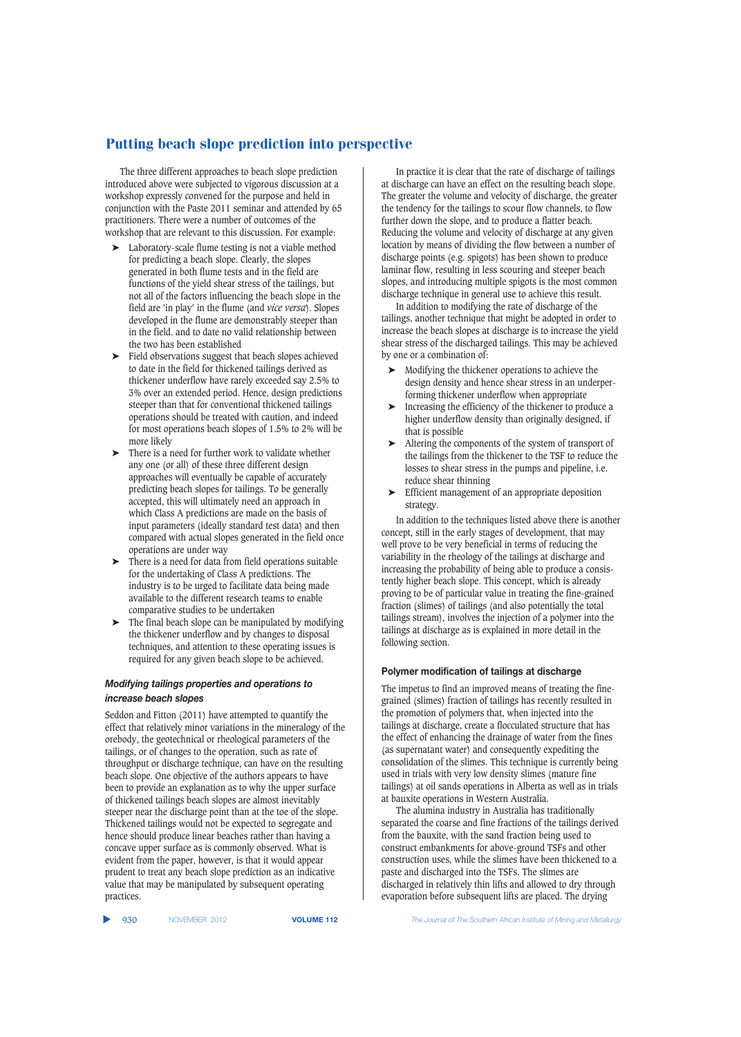The three different approaches to beach slope prediction introduced above were subjected to vigorous discussion at a workshop expressly convened for the purpose and held in conjunction with the Paste 2011 seminar and attended by 65 practitioners. There were a number of outcomes of the workshop that are relevant to this discussion. For example:

- Laboratory-scale flume testing is not a viable method for predicting a beach slope. Clearly, the slopes generated in both flume tests and in the field are functions of the yield shear stress of the tailings, but not all of the factors influencing the beach slope in the field are 'in play' in the flume (and *vice versa*). Slopes developed in the flume are demonstrably steeper than in the field. and to date no valid relationship between the two has been established
- ➤ Field observations suggest that beach slopes achieved to date in the field for thickened tailings derived as thickener underflow have rarely exceeded say 2.5% to 3% over an extended period. Hence, design predictions steeper than that for conventional thickened tailings operations should be treated with caution, and indeed for most operations beach slopes of 1.5% to 2% will be more likely
- ➤ There is a need for further work to validate whether any one (or all) of these three different design approaches will eventually be capable of accurately predicting beach slopes for tailings. To be generally accepted, this will ultimately need an approach in which Class A predictions are made on the basis of input parameters (ideally standard test data) and then compared with actual slopes generated in the field once operations are under way
- ➤ There is a need for data from field operations suitable for the undertaking of Class A predictions. The industry is to be urged to facilitate data being made available to the different research teams to enable comparative studies to be undertaken
- ➤ The final beach slope can be manipulated by modifying the thickener underflow and by changes to disposal techniques, and attention to these operating issues is required for any given beach slope to be achieved.

### *Modifying tailings properties and operations to increase beach slopes*

Seddon and Fitton (2011) have attempted to quantify the effect that relatively minor variations in the mineralogy of the orebody, the geotechnical or rheological parameters of the tailings, or of changes to the operation, such as rate of throughput or discharge technique, can have on the resulting beach slope. One objective of the authors appears to have been to provide an explanation as to why the upper surface of thickened tailings beach slopes are almost inevitably steeper near the discharge point than at the toe of the slope. Thickened tailings would not be expected to segregate and hence should produce linear beaches rather than having a concave upper surface as is commonly observed. What is evident from the paper, however, is that it would appear prudent to treat any beach slope prediction as an indicative value that may be manipulated by subsequent operating practices.

In practice it is clear that the rate of discharge of tailings at discharge can have an effect on the resulting beach slope. The greater the volume and velocity of discharge, the greater the tendency for the tailings to scour flow channels, to flow further down the slope, and to produce a flatter beach. Reducing the volume and velocity of discharge at any given location by means of dividing the flow between a number of discharge points (e.g. spigots) has been shown to produce laminar flow, resulting in less scouring and steeper beach slopes, and introducing multiple spigots is the most common discharge technique in general use to achieve this result.

In addition to modifying the rate of discharge of the tailings, another technique that might be adopted in order to increase the beach slopes at discharge is to increase the yield shear stress of the discharged tailings. This may be achieved by one or a combination of:

- ➤ Modifying the thickener operations to achieve the design density and hence shear stress in an underperforming thickener underflow when appropriate
- ➤ Increasing the efficiency of the thickener to produce a higher underflow density than originally designed, if that is possible
- ➤ Altering the components of the system of transport of the tailings from the thickener to the TSF to reduce the losses to shear stress in the pumps and pipeline, i.e. reduce shear thinning
- ➤ Efficient management of an appropriate deposition strategy.

In addition to the techniques listed above there is another concept, still in the early stages of development, that may well prove to be very beneficial in terms of reducing the variability in the rheology of the tailings at discharge and increasing the probability of being able to produce a consistently higher beach slope. This concept, which is already proving to be of particular value in treating the fine-grained fraction (slimes) of tailings (and also potentially the total tailings stream), involves the injection of a polymer into the tailings at discharge as is explained in more detail in the following section.

#### **Polymer modification of tailings at discharge**

The impetus to find an improved means of treating the finegrained (slimes) fraction of tailings has recently resulted in the promotion of polymers that, when injected into the tailings at discharge, create a flocculated structure that has the effect of enhancing the drainage of water from the fines (as supernatant water) and consequently expediting the consolidation of the slimes. This technique is currently being used in trials with very low density slimes (mature fine tailings) at oil sands operations in Alberta as well as in trials at bauxite operations in Western Australia.

The alumina industry in Australia has traditionally separated the coarse and fine fractions of the tailings derived from the bauxite, with the sand fraction being used to construct embankments for above-ground TSFs and other construction uses, while the slimes have been thickened to a paste and discharged into the TSFs. The slimes are discharged in relatively thin lifts and allowed to dry through evaporation before subsequent lifts are placed. The drying

▲

930 NOVEMBER 2012 **VOLUME 112** *The Journal of The Southern African Institute of Mining and Metallurgy*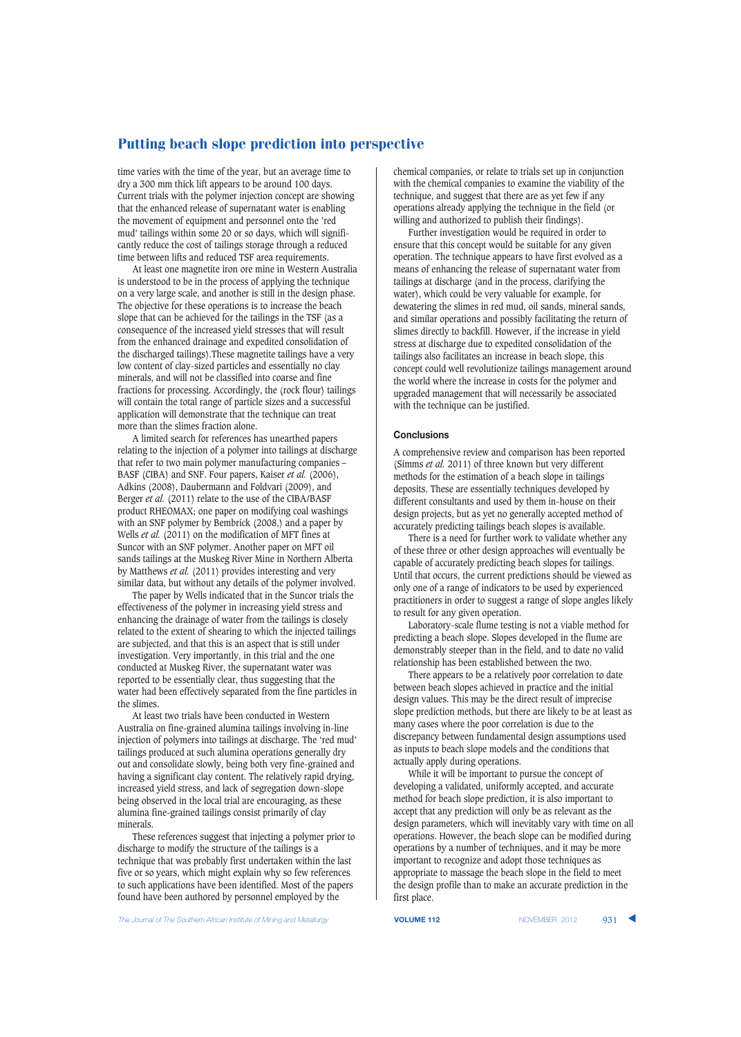time varies with the time of the year, but an average time to dry a 300 mm thick lift appears to be around 100 days. Current trials with the polymer injection concept are showing that the enhanced release of supernatant water is enabling the movement of equipment and personnel onto the 'red mud' tailings within some 20 or so days, which will significantly reduce the cost of tailings storage through a reduced time between lifts and reduced TSF area requirements.

At least one magnetite iron ore mine in Western Australia is understood to be in the process of applying the technique on a very large scale, and another is still in the design phase. The objective for these operations is to increase the beach slope that can be achieved for the tailings in the TSF (as a consequence of the increased yield stresses that will result from the enhanced drainage and expedited consolidation of the discharged tailings).These magnetite tailings have a very low content of clay-sized particles and essentially no clay minerals, and will not be classified into coarse and fine fractions for processing. Accordingly, the (rock flour) tailings will contain the total range of particle sizes and a successful application will demonstrate that the technique can treat more than the slimes fraction alone.

A limited search for references has unearthed papers relating to the injection of a polymer into tailings at discharge that refer to two main polymer manufacturing companies – BASF (CIBA) and SNF. Four papers, Kaiser *et al.* (2006), Adkins (2008), Daubermann and Foldvari (2009), and Berger *et al.* (2011) relate to the use of the CIBA/BASF product RHEOMAX; one paper on modifying coal washings with an SNF polymer by Bembrick (2008,) and a paper by Wells *et al.* (2011) on the modification of MFT fines at Suncor with an SNF polymer. Another paper on MFT oil sands tailings at the Muskeg River Mine in Northern Alberta by Matthews *et al.* (2011) provides interesting and very similar data, but without any details of the polymer involved.

The paper by Wells indicated that in the Suncor trials the effectiveness of the polymer in increasing yield stress and enhancing the drainage of water from the tailings is closely related to the extent of shearing to which the injected tailings are subjected, and that this is an aspect that is still under investigation. Very importantly, in this trial and the one conducted at Muskeg River, the supernatant water was reported to be essentially clear, thus suggesting that the water had been effectively separated from the fine particles in the slimes.

At least two trials have been conducted in Western Australia on fine-grained alumina tailings involving in-line injection of polymers into tailings at discharge. The 'red mud' tailings produced at such alumina operations generally dry out and consolidate slowly, being both very fine-grained and having a significant clay content. The relatively rapid drying, increased yield stress, and lack of segregation down-slope being observed in the local trial are encouraging, as these alumina fine-grained tailings consist primarily of clay minerals.

These references suggest that injecting a polymer prior to discharge to modify the structure of the tailings is a technique that was probably first undertaken within the last five or so years, which might explain why so few references to such applications have been identified. Most of the papers found have been authored by personnel employed by the

chemical companies, or relate to trials set up in conjunction with the chemical companies to examine the viability of the technique, and suggest that there are as yet few if any operations already applying the technique in the field (or willing and authorized to publish their findings).

Further investigation would be required in order to ensure that this concept would be suitable for any given operation. The technique appears to have first evolved as a means of enhancing the release of supernatant water from tailings at discharge (and in the process, clarifying the water), which could be very valuable for example, for dewatering the slimes in red mud, oil sands, mineral sands, and similar operations and possibly facilitating the return of slimes directly to backfill. However, if the increase in yield stress at discharge due to expedited consolidation of the tailings also facilitates an increase in beach slope, this concept could well revolutionize tailings management around the world where the increase in costs for the polymer and upgraded management that will necessarily be associated with the technique can be justified.

#### **Conclusions**

A comprehensive review and comparison has been reported (Simms *et al.* 2011) of three known but very different methods for the estimation of a beach slope in tailings deposits. These are essentially techniques developed by different consultants and used by them in-house on their design projects, but as yet no generally accepted method of accurately predicting tailings beach slopes is available.

There is a need for further work to validate whether any of these three or other design approaches will eventually be capable of accurately predicting beach slopes for tailings. Until that occurs, the current predictions should be viewed as only one of a range of indicators to be used by experienced practitioners in order to suggest a range of slope angles likely to result for any given operation.

Laboratory-scale flume testing is not a viable method for predicting a beach slope. Slopes developed in the flume are demonstrably steeper than in the field, and to date no valid relationship has been established between the two.

There appears to be a relatively poor correlation to date between beach slopes achieved in practice and the initial design values. This may be the direct result of imprecise slope prediction methods, but there are likely to be at least as many cases where the poor correlation is due to the discrepancy between fundamental design assumptions used as inputs to beach slope models and the conditions that actually apply during operations.

While it will be important to pursue the concept of developing a validated, uniformly accepted, and accurate method for beach slope prediction, it is also important to accept that any prediction will only be as relevant as the design parameters, which will inevitably vary with time on all operations. However, the beach slope can be modified during operations by a number of techniques, and it may be more important to recognize and adopt those techniques as appropriate to massage the beach slope in the field to meet the design profile than to make an accurate prediction in the first place.